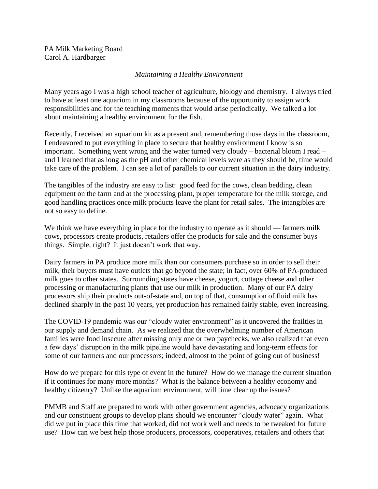PA Milk Marketing Board Carol A. Hardbarger

## *Maintaining a Healthy Environment*

Many years ago I was a high school teacher of agriculture, biology and chemistry. I always tried to have at least one aquarium in my classrooms because of the opportunity to assign work responsibilities and for the teaching moments that would arise periodically. We talked a lot about maintaining a healthy environment for the fish.

Recently, I received an aquarium kit as a present and, remembering those days in the classroom, I endeavored to put everything in place to secure that healthy environment I know is so important. Something went wrong and the water turned very cloudy – bacterial bloom I read – and I learned that as long as the pH and other chemical levels were as they should be, time would take care of the problem. I can see a lot of parallels to our current situation in the dairy industry.

The tangibles of the industry are easy to list: good feed for the cows, clean bedding, clean equipment on the farm and at the processing plant, proper temperature for the milk storage, and good handling practices once milk products leave the plant for retail sales. The intangibles are not so easy to define.

We think we have everything in place for the industry to operate as it should — farmers milk cows, processors create products, retailers offer the products for sale and the consumer buys things. Simple, right? It just doesn't work that way.

Dairy farmers in PA produce more milk than our consumers purchase so in order to sell their milk, their buyers must have outlets that go beyond the state; in fact, over 60% of PA-produced milk goes to other states. Surrounding states have cheese, yogurt, cottage cheese and other processing or manufacturing plants that use our milk in production. Many of our PA dairy processors ship their products out-of-state and, on top of that, consumption of fluid milk has declined sharply in the past 10 years, yet production has remained fairly stable, even increasing.

The COVID-19 pandemic was our "cloudy water environment" as it uncovered the frailties in our supply and demand chain. As we realized that the overwhelming number of American families were food insecure after missing only one or two paychecks, we also realized that even a few days' disruption in the milk pipeline would have devastating and long-term effects for some of our farmers and our processors; indeed, almost to the point of going out of business!

How do we prepare for this type of event in the future? How do we manage the current situation if it continues for many more months? What is the balance between a healthy economy and healthy citizenry? Unlike the aquarium environment, will time clear up the issues?

PMMB and Staff are prepared to work with other government agencies, advocacy organizations and our constituent groups to develop plans should we encounter "cloudy water" again. What did we put in place this time that worked, did not work well and needs to be tweaked for future use? How can we best help those producers, processors, cooperatives, retailers and others that